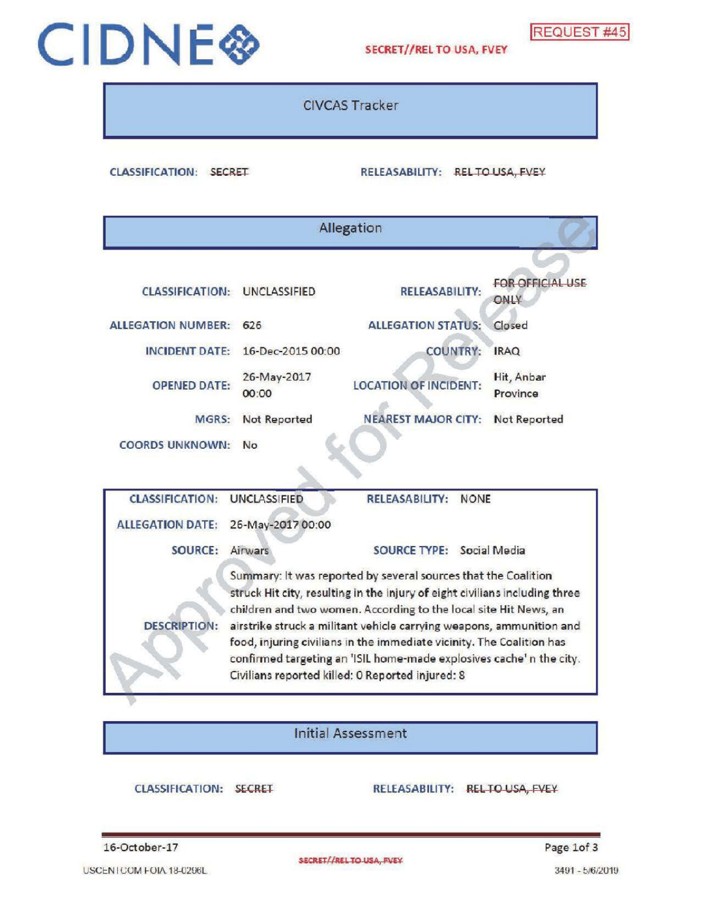# CIDNE SECRET//REL TO USA, FVEY REQUEST #45

CIVCAS Tracker

CLASSIFICATION: SECRET RELEASABILITY: REL TO USA, FVEY

|                                                                                                                                                                                                                                                                                                                                                                                           |                                     | Allegation                                                                                                              |                                 |  |  |  |  |
|-------------------------------------------------------------------------------------------------------------------------------------------------------------------------------------------------------------------------------------------------------------------------------------------------------------------------------------------------------------------------------------------|-------------------------------------|-------------------------------------------------------------------------------------------------------------------------|---------------------------------|--|--|--|--|
|                                                                                                                                                                                                                                                                                                                                                                                           |                                     |                                                                                                                         |                                 |  |  |  |  |
|                                                                                                                                                                                                                                                                                                                                                                                           | <b>CLASSIFICATION: UNCLASSIFIED</b> | <b>RELEASABILITY:</b>                                                                                                   | <b>FOR OFFICIAL USE</b><br>ONLY |  |  |  |  |
| <b>ALLEGATION NUMBER:</b>                                                                                                                                                                                                                                                                                                                                                                 | 626                                 | <b>ALLEGATION STATUS:</b>                                                                                               | Closed                          |  |  |  |  |
| <b>INCIDENT DATE:</b>                                                                                                                                                                                                                                                                                                                                                                     | 16-Dec-2015 00:00                   | <b>COUNTRY:</b>                                                                                                         | <b>IRAQ</b>                     |  |  |  |  |
| <b>OPENED DATE:</b>                                                                                                                                                                                                                                                                                                                                                                       | 26-May-2017<br>00:00                | <b>LOCATION OF INCIDENT:</b>                                                                                            | Hit, Anbar<br>Province          |  |  |  |  |
| MGRS:                                                                                                                                                                                                                                                                                                                                                                                     | Not Reported                        | <b>NEAREST MAJOR CITY:</b>                                                                                              | Not Reported                    |  |  |  |  |
| <b>COORDS UNKNOWN:</b>                                                                                                                                                                                                                                                                                                                                                                    | No                                  |                                                                                                                         |                                 |  |  |  |  |
|                                                                                                                                                                                                                                                                                                                                                                                           |                                     |                                                                                                                         |                                 |  |  |  |  |
| <b>CLASSIFICATION:</b>                                                                                                                                                                                                                                                                                                                                                                    | <b>UNCLASSIFIED</b>                 | <b>RELEASABILITY:</b><br><b>NONE</b>                                                                                    |                                 |  |  |  |  |
| <b>ALLEGATION DATE:</b>                                                                                                                                                                                                                                                                                                                                                                   | 26-May-2017 00:00                   |                                                                                                                         |                                 |  |  |  |  |
| SOURCE:                                                                                                                                                                                                                                                                                                                                                                                   | Airwars                             | SOURCE TYPE: Social Media                                                                                               |                                 |  |  |  |  |
| Summary: It was reported by several sources that the Coalition<br>struck Hit city, resulting in the injury of eight civilians including three<br>children and two women. According to the local site Hit News, an<br><b>DESCRIPTION:</b><br>airstrike struck a militant vehicle carrying weapons, ammunition and<br>food, injuring civilians in the immediate vicinity. The Coalition has |                                     |                                                                                                                         |                                 |  |  |  |  |
|                                                                                                                                                                                                                                                                                                                                                                                           |                                     | confirmed targeting an 'ISIL home-made explosives cache'n the city.<br>Civilians reported killed: 0 Reported injured: 8 |                                 |  |  |  |  |

## Initial Assessment

CLASSIFICATION: SECRET RELEASABILITY: RELTO USA, FVEY

```
16-October-17 Page 1of 3
```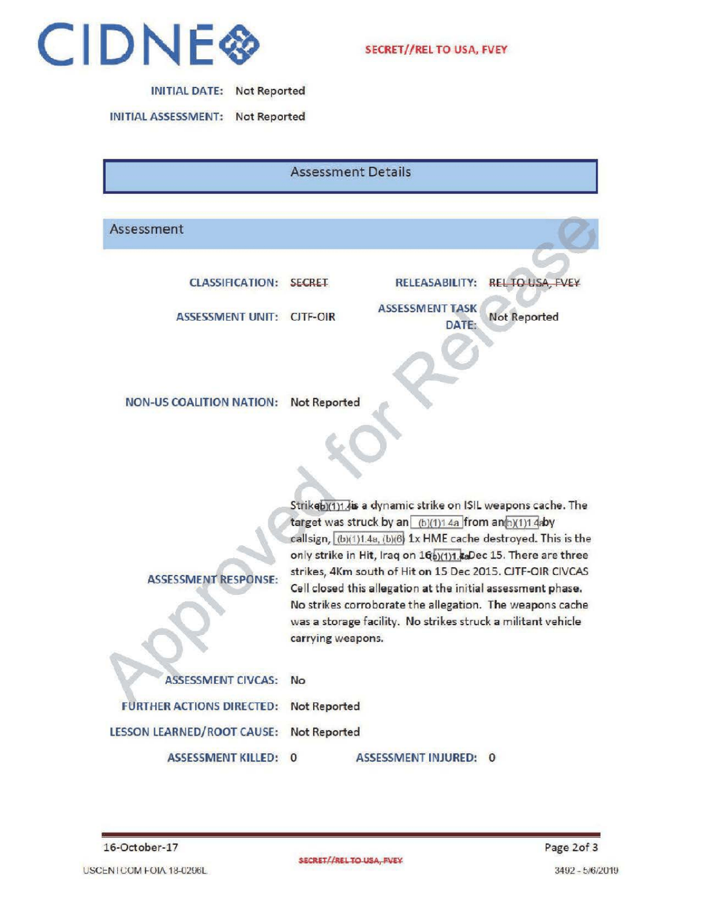

| <b>INITIAL DATE:</b> | <b>Not Reported</b> |
|----------------------|---------------------|
|----------------------|---------------------|

INITIALASSESSMENT: Not Reported

Assessment Details

### Assessment

ASSESSMENT UNIT: CITF-OIR PASSESSMENT Not Reported

CLASSIFICATION: SECRET RELEASABILITY: REL TO USA, FVEY ASSESSMENT TASK

DATE:

NON-US COALITION NATION: Not Reported

Strikeb)(1)1.4is a dynamic strike on ISIL weapons cache. The target was struck by an  $(b)(1)1.4a$  from an( $b)(1)1.4aby$ callsign,  $(b)(1)1.4a$ ,  $(b)(6)$  1x HME cache destroyed. This is the only strike in Hit, Iraq on 16b)(1)1. aDec 15. There are three strikes, 4Km south of Hit on 15 Dec 2015. CJTF-OIR CIVCAS Cell closed this allegation at the initial assessment phase. No strikes corroborate the allegation. The weapons cache was a storage facility. No strikes struck a militant vehicle

carrying weapons<br>ASSESSMENT CIVCAS: No<br>EURTHER ACTIONS DIRECTED: Not Benetics FURTHER ACTIONS DIRECTED: Not Reported LESSON LEARNED/ROOT CAUSE: Not Reported

ASSESSMENT RESPONSE:

ASSESSMENT KILLED: 0 ASSESSMENT INJURED: 0

16-October- 17 Page 2of 3

USCENTCOM FOIA 18-0296L 3492 - 5/6/2019

SECRET//RELTO USA, FVEY